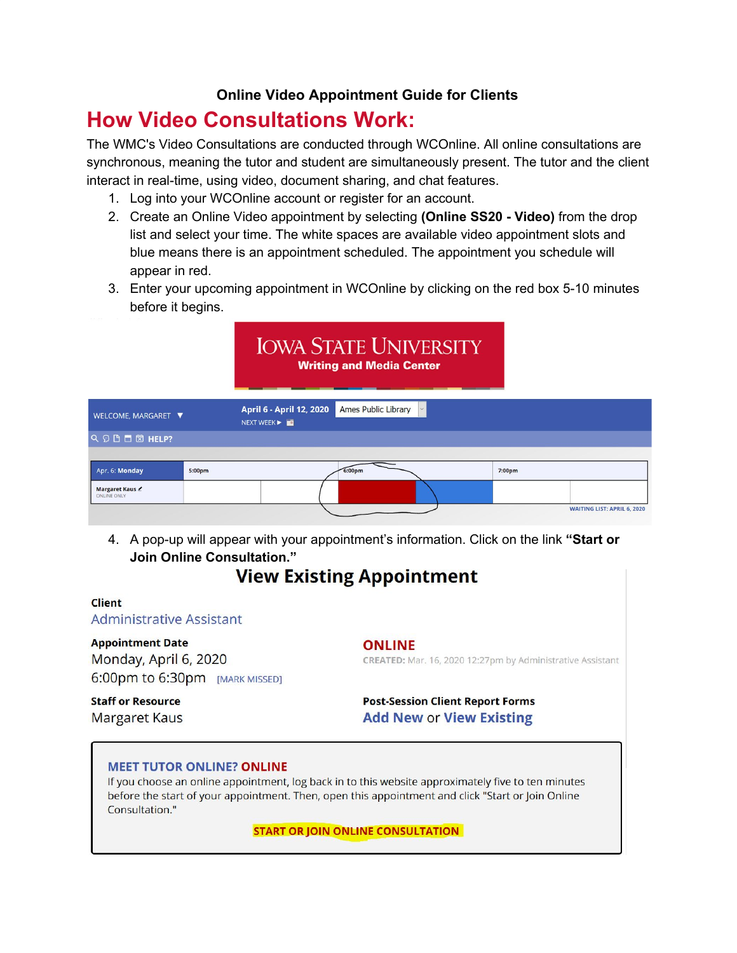## **Online Video Appointment Guide for Clients**

# **How Video Consultations Work:**

The WMC's Video Consultations are conducted through WCOnline. All online consultations are synchronous, meaning the tutor and student are simultaneously present. The tutor and the client interact in real-time, using video, document sharing, and chat features.

- 1. Log into your WCOnline account or register for an account.
- 2. Create an Online Video appointment by selecting **(Online SS20 - Video)** from the drop list and select your time. The white spaces are available video appointment slots and blue means there is an appointment scheduled. The appointment you schedule will appear in red.
- 3. Enter your upcoming appointment in WCOnline by clicking on the red box 5-10 minutes before it begins.

|                                     |        |                                         | <b>IOWA STATE UNIVERSITY</b><br><b>Writing and Media Center</b> |        |                                    |
|-------------------------------------|--------|-----------------------------------------|-----------------------------------------------------------------|--------|------------------------------------|
| WELCOME, MARGARET ▼                 |        | April 6 - April 12, 2020<br>NEXT WEEK > | <b>Ames Public Library</b>                                      |        |                                    |
| Q O B E E HELP?                     |        |                                         |                                                                 |        |                                    |
|                                     |        |                                         |                                                                 |        |                                    |
| Apr. 6: Monday                      | 5:00pm |                                         | 6:00 <sub>pm</sub>                                              | 7:00pm |                                    |
| Margaret Kaus<br><b>ONLINE ONLY</b> |        |                                         |                                                                 |        |                                    |
|                                     |        |                                         |                                                                 |        | <b>WAITING LIST: APRIL 6, 2020</b> |

4. A pop-up will appear with your appointment's information. Click on the link **"Start or Join Online Consultation."**

## **View Existing Appointment**

#### **Client** Administrative Assistant

**Appointment Date** Monday, April 6, 2020 6:00pm to 6:30pm [MARK MISSED]

### **ONLINE**

CREATED: Mar. 16, 2020 12:27pm by Administrative Assistant

#### **Staff or Resource Margaret Kaus**

**Post-Session Client Report Forms Add New or View Existing** 

#### **MEET TUTOR ONLINE? ONLINE**

If you choose an online appointment, log back in to this website approximately five to ten minutes before the start of your appointment. Then, open this appointment and click "Start or Join Online Consultation."

**START OR JOIN ONLINE CONSULTATION**